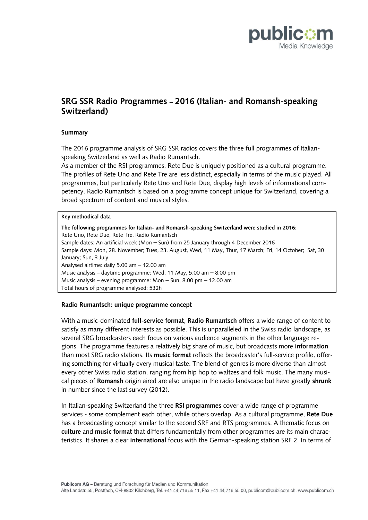

# **SRG SSR Radio Programmes – 2016 (Italian- and Romansh-speaking Switzerland)**

### **Summary**

The 2016 programme analysis of SRG SSR radios covers the three full programmes of Italianspeaking Switzerland as well as Radio Rumantsch.

As a member of the RSI programmes, Rete Due is uniquely positioned as a cultural programme. The profiles of Rete Uno and Rete Tre are less distinct, especially in terms of the music played. All programmes, but particularly Rete Uno and Rete Due, display high levels of informational competency. Radio Rumantsch is based on a programme concept unique for Switzerland, covering a broad spectrum of content and musical styles.

#### **Key methodical data**

**The following programmes for Italian- and Romansh-speaking Switzerland were studied in 2016:**  Rete Uno, Rete Due, Rete Tre, Radio Rumantsch Sample dates: An artificial week (Mon – Sun) from 25 January through 4 December 2016 Sample days: Mon, 28. November; Tues, 23. August, Wed, 11 May, Thur, 17 March; Fri, 14 October; Sat, 30 January; Sun, 3 July Analysed airtime: daily 5.00 am – 12.00 am Music analysis – daytime programme: Wed, 11 May, 5.00 am – 8.00 pm Music analysis – evening programme: Mon – Sun, 8.00 pm – 12.00 am Total hours of programme analysed: 532h

### **Radio Rumantsch: unique programme concept**

With a music-dominated **full-service format**, **Radio Rumantsch** offers a wide range of content to satisfy as many different interests as possible. This is unparalleled in the Swiss radio landscape, as several SRG broadcasters each focus on various audience segments in the other language regions. The programme features a relatively big share of music, but broadcasts more **information**  than most SRG radio stations. Its **music format** reflects the broadcaster's full-service profile, offering something for virtually every musical taste. The blend of genres is more diverse than almost every other Swiss radio station, ranging from hip hop to waltzes and folk music. The many musical pieces of **Romansh** origin aired are also unique in the radio landscape but have greatly **shrunk** in number since the last survey (2012).

In Italian-speaking Switzerland the three **RSI programmes** cover a wide range of programme services - some complement each other, while others overlap. As a cultural programme, **Rete Due** has a broadcasting concept similar to the second SRF and RTS programmes. A thematic focus on **culture** and **music format** that differs fundamentally from other programmes are its main characteristics. It shares a clear **international** focus with the German-speaking station SRF 2. In terms of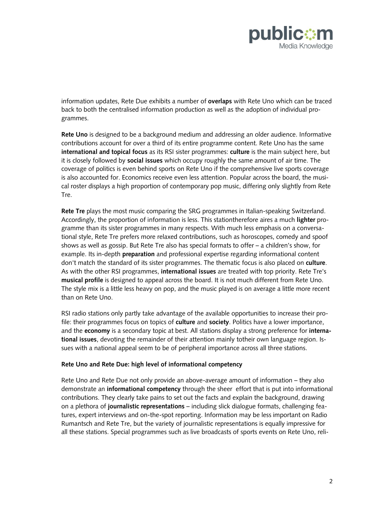

information updates, Rete Due exhibits a number of **overlaps** with Rete Uno which can be traced back to both the centralised information production as well as the adoption of individual programmes.

**Rete Uno** is designed to be a background medium and addressing an older audience. Informative contributions account for over a third of its entire programme content. Rete Uno has the same **international and topical focus** as its RSI sister programmes: **culture** is the main subject here, but it is closely followed by **social issues** which occupy roughly the same amount of air time. The coverage of politics is even behind sports on Rete Uno if the comprehensive live sports coverage is also accounted for. Economics receive even less attention. Popular across the board, the musical roster displays a high proportion of contemporary pop music, differing only slightly from Rete Tre.

**Rete Tre** plays the most music comparing the SRG programmes in Italian-speaking Switzerland. Accordingly, the proportion of information is less. This stationtherefore aires a much **lighter** programme than its sister programmes in many respects. With much less emphasis on a conversational style, Rete Tre prefers more relaxed contributions, such as horoscopes, comedy and spoof shows as well as gossip. But Rete Tre also has special formats to offer – a children's show, for example. Its in-depth **preparation** and professional expertise regarding informational content don't match the standard of its sister programmes. The thematic focus is also placed on **culture**. As with the other RSI programmes, **international issues** are treated with top priority. Rete Tre's **musical profile** is designed to appeal across the board. It is not much different from Rete Uno. The style mix is a little less heavy on pop, and the music played is on average a little more recent than on Rete Uno.

RSI radio stations only partly take advantage of the available opportunities to increase their profile: their programmes focus on topics of **culture** and **society**. Politics have a lower importance, and the **economy** is a secondary topic at best. All stations display a strong preference for **international issues**, devoting the remainder of their attention mainly totheir own language region. Issues with a national appeal seem to be of peripheral importance across all three stations.

### **Rete Uno and Rete Due: high level of informational competency**

Rete Uno and Rete Due not only provide an above-average amount of information – they also demonstrate an **informational competency** through the sheer effort that is put into informational contributions. They clearly take pains to set out the facts and explain the background, drawing on a plethora of **journalistic representations** – including slick dialogue formats, challenging features, expert interviews and on-the-spot reporting. Information may be less important on Radio Rumantsch and Rete Tre, but the variety of journalistic representations is equally impressive for all these stations. Special programmes such as live broadcasts of sports events on Rete Uno, reli-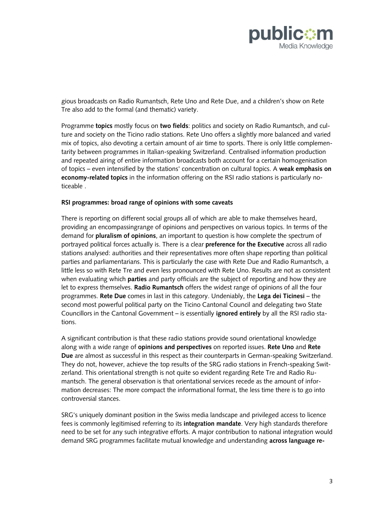

gious broadcasts on Radio Rumantsch, Rete Uno and Rete Due, and a children's show on Rete Tre also add to the formal (and thematic) variety.

Programme **topics** mostly focus on **two fields**: politics and society on Radio Rumantsch, and culture and society on the Ticino radio stations. Rete Uno offers a slightly more balanced and varied mix of topics, also devoting a certain amount of air time to sports. There is only little complementarity between programmes in Italian-speaking Switzerland. Centralised information production and repeated airing of entire information broadcasts both account for a certain homogenisation of topics – even intensified by the stations' concentration on cultural topics. A **weak emphasis on economy-related topics** in the information offering on the RSI radio stations is particularly noticeable .

## **RSI programmes: broad range of opinions with some caveats**

There is reporting on different social groups all of which are able to make themselves heard, providing an encompassingrange of opinions and perspectives on various topics. In terms of the demand for **pluralism of opinions**, an important to question is how complete the spectrum of portrayed political forces actually is. There is a clear **preference for the Executive** across all radio stations analysed: authorities and their representatives more often shape reporting than political parties and parliamentarians. This is particularly the case with Rete Due and Radio Rumantsch, a little less so with Rete Tre and even less pronounced with Rete Uno. Results are not as consistent when evaluating which **parties** and party officials are the subject of reporting and how they are let to express themselves. **Radio Rumantsch** offers the widest range of opinions of all the four programmes. **Rete Due** comes in last in this category. Undeniably, the **Lega dei Ticinesi** – the second most powerful political party on the Ticino Cantonal Council and delegating two State Councillors in the Cantonal Government – is essentially **ignored entirely** by all the RSI radio stations.

A significant contribution is that these radio stations provide sound orientational knowledge along with a wide range of **opinions and perspectives** on reported issues. **Rete Uno** and **Rete Due** are almost as successful in this respect as their counterparts in German-speaking Switzerland. They do not, however, achieve the top results of the SRG radio stations in French-speaking Switzerland. This orientational strength is not quite so evident regarding Rete Tre and Radio Rumantsch. The general observation is that orientational services recede as the amount of information decreases: The more compact the informational format, the less time there is to go into controversial stances.

SRG's uniquely dominant position in the Swiss media landscape and privileged access to licence fees is commonly legitimised referring to its **integration mandate**. Very high standards therefore need to be set for any such integrative efforts. A major contribution to national integration would demand SRG programmes facilitate mutual knowledge and understanding **across language re-**